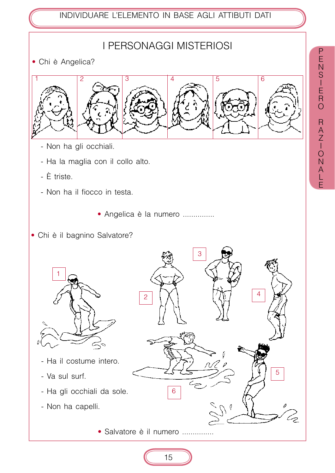# **I PERSONAGGI MISTERIOSI**

· Chi è Angelica?



- Non ha gli occhiali.
- Ha la maglia con il collo alto.
- È triste.
- Non ha il fiocco in testa.
	- · Angelica è la numero ..............
- · Chi è il bagnino Salvatore?



- Ha il costume intero.
- Va sul surf.
- Ha gli occhiali da sole.
- Non ha capelli.

 $\overline{4}$  $\overline{c}$ 5 6 · Salvatore è il numero ..............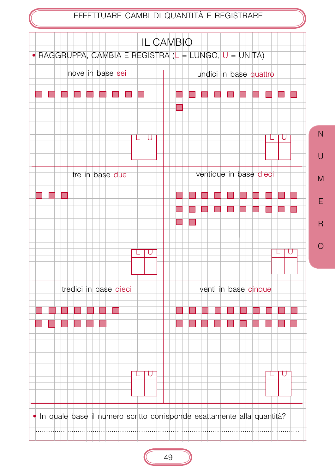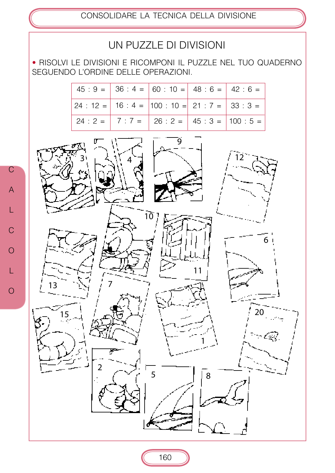### UN PUZZLE DI DIVISIONI

. RISOLVI LE DIVISIONI E RICOMPONI IL PUZZLE NEL TUO QUADERNO SEGUENDO L'ORDINE DELLE OPERAZIONI.

| $45:9 = 36:4 = 60:10 = 48:6 = 42:6 =$                                                                  |  |  |
|--------------------------------------------------------------------------------------------------------|--|--|
| $24: 12 =   16: 4 =   100: 10 =   21: 7 =   33: 3 =$                                                   |  |  |
| $24:2 = \begin{vmatrix} 7:7 = \end{vmatrix}$ 26 : 2 = $\begin{vmatrix} 45:3 = \end{vmatrix}$ 100 : 5 = |  |  |



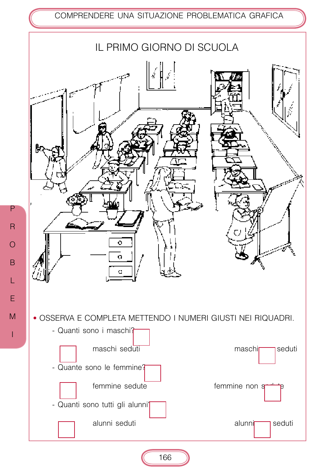COMPRENDERE UNA SITUAZIONE PROBLEMATICA GRAFICA



 $\overline{P}$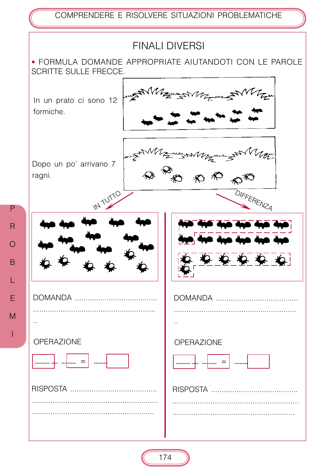COMPRENDERE E RISOLVERE SITUAZIONI PROBLEMATICHE

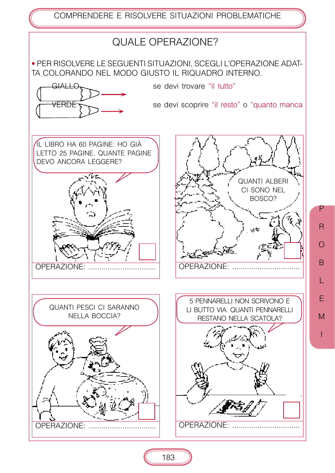COMPRENDERE E RISOLVERE SITUAZIONI PROBLEMATICHE **QUALE OPERAZIONE?** . PER RISOLVERE LE SEGUENTI SITUAZIONI, SCEGLI L'OPERAZIONE ADAT-TA COLORANDO NEL MODO GIUSTO IL RIQUADRO INTERNO. se devi trovare "il tutto" <del>GIALLO</del> se devi scoprire "il resto" o "quanto manca **VERDE** ÍL LIBRO HA 60 PAGINE: HO GIÀ LETTO 25 PAGINE. QUANTE PAGINE DEVO ANCORA LEGGERE? **QUANTI ALBERI** CI SONO NEL BOSCO? wφ استمرار OPERAZIONE: ..................... OPERAZIONE: ......... 5 PENNARELLI NON SCRIVONO E QUANTI PESCI CI SARANNO LI BUTTO VIA. QUANTI PENNARELLI NELLA BOCCIA? RESTANO NELLA SCATOLA? **OPERAZIONE: ....................** OPERAZIONE: .................

P

 $\overline{R}$ 

 $\bigcirc$ 

B

Ī.

E

M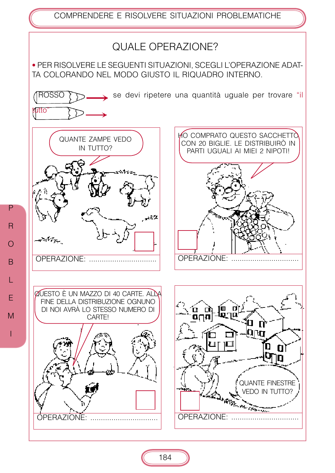## **QUALE OPERAZIONE?**

. PER RISOLVERE LE SEGUENTI SITUAZIONI, SCEGLI L'OPERAZIONE ADAT-TA COLORANDO NEL MODO GIUSTO IL RIQUADRO INTERNO.

se devi ripetere una quantità uguale per trovare "il **ROSSO** utto



**QUESTO È UN MAZZO DI 40 CARTE. AL** FINE DELLA DISTRIBUZIONE OGNUNO DI NOI AVRÀ LO STESSO NUMERO DI **CARTFI** OPERAZIONE:





P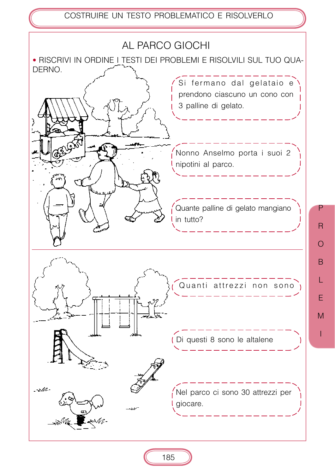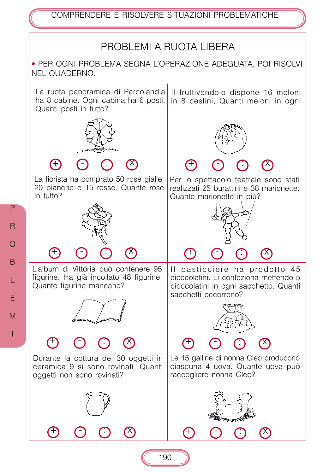COMPRENDERE E RISOLVERE SITUAZIONI PROBLEMATICHE

## PROBLEMLA RUOTA LIBERA

• PER OGNI PROBLEMA SEGNA L'OPERAZIONE ADEGUATA, POI RISOLVI NEL QUADERNO.

La ruota panoramica di Parcolandia Il fruttivendolo dispone 16 meloni ha 8 cabine. Ogni cabina ha 6 posti. in 8 cestini, Quanti meloni in ogni Quanti posti in tutto?



La fiorista ha comprato 50 rose gialle, 20 bianche e 15 rosse. Quante rose in tutto?







L'album di Vittoria può contenere 95 figurine. Ha già incollato 48 figurine. Quante figurine mancano?





Durante la cottura dei 30 oggetti in ceramica 9 si sono rovinati. Quanti oggetti non sono rovinati?



cioccolatini. Li confeziona mettendo 5

cioccolatini in ogni sacchetto. Quanti

sacchetti occorrono?

Le 15 galline di nonna Cleo producono ciascuna 4 uova. Quante uova può raccogliere nonna Cleo?





┿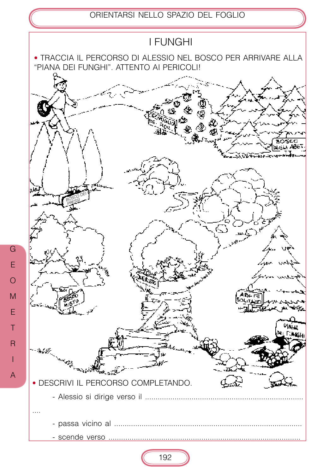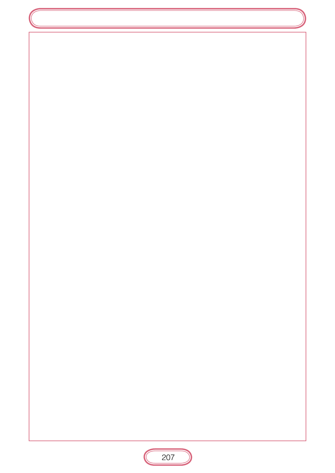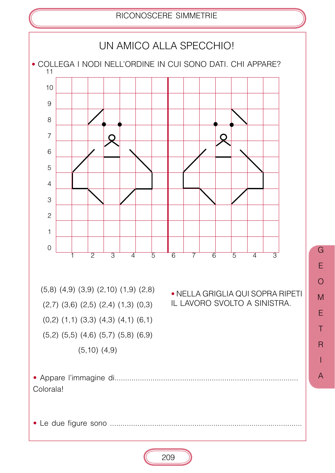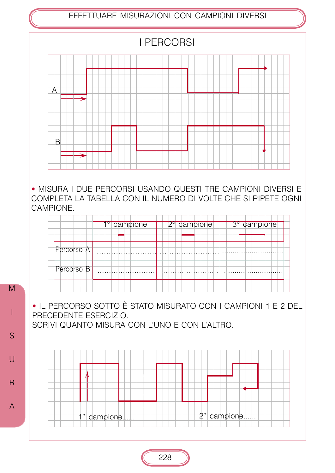EFFETTUARE MISURAZIONI CON CAMPIONI DIVERSI



• MISURA I DUE PERCORSI USANDO QUESTI TRE CAMPIONI DIVERSI E COMPLETA LA TABELLA CON IL NUMERO DI VOLTE CHE SI RIPETE OGNI CAMPIONE.



• IL PERCORSO SOTTO È STATO MISURATO CON I CAMPIONI 1 E 2 DEL PRECEDENTE ESERCIZIO.

SCRIVI QUANTO MISURA CON L'UNO E CON L'ALTRO.



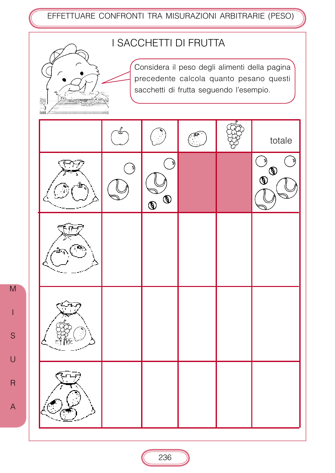EFFETTUARE CONFRONTI TRA MISURAZIONI ARBITRARIE (PESO)

## I SACCHETTI DI FRUTTA



Considera il peso degli alimenti della pagina precedente calcola quanto pesano questi sacchetti di frutta seguendo l'esempio.



M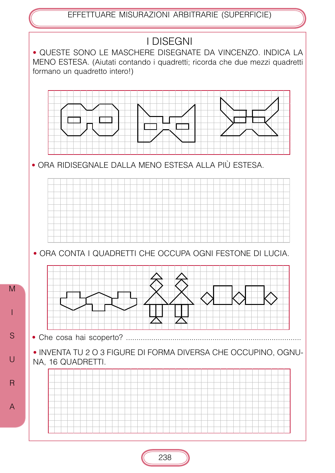EFFETTUARE MISURAZIONI ARBITRARIE (SUPERFICIE)



M

S

 $\bigcup$ 

 $\overline{R}$ 

A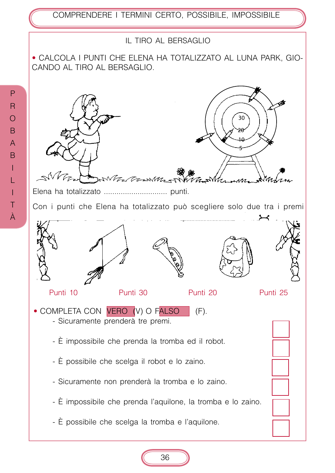IL TIRO AL BERSAGLIO

• CALCOLA I PUNTI CHE ELENA HA TOTALIZZATO AL LUNA PARK, GIO-CANDO AL TIRO AL BERSAGLIO.



Con i punti che Elena ha totalizzato può scegliere solo due tra i premi

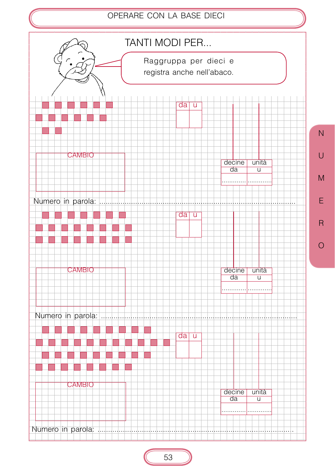#### OPERARE CON LA BASE DIECI



 $\overline{N}$ 

 $\bigcup$ 

M

E

 $\overline{R}$ 

 $\bigcirc$